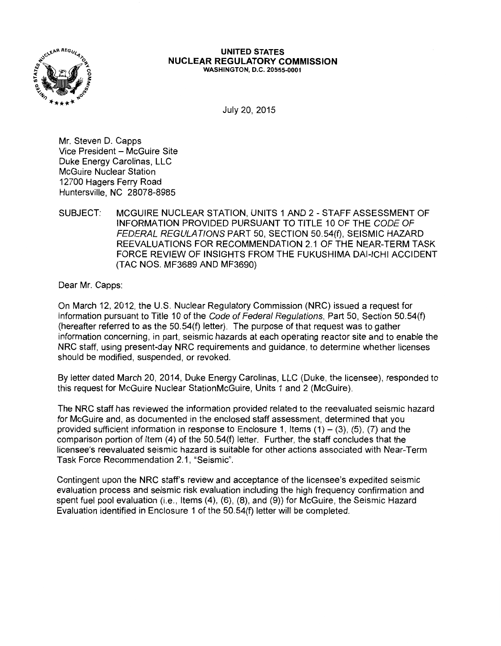

#### **UNITED STATES NUCLEAR REGULATORY COMMISSION**  WASHINGTON, D.C. 20555-0001

July 20, 2015

Mr. Steven D. Capps Vice President - McGuire Site Duke Energy Carolinas, LLC McGuire Nuclear Station 12700 Hagers Ferry Road Huntersville, NC 28078-8985

## SUBJECT: MCGUIRE NUCLEAR STATION, UNITS 1 AND 2 - STAFF ASSESSMENT OF INFORMATION PROVIDED PURSUANT TO TITLE 10 OF THE CODE OF FEDERAL REGULATIONS PART 50, SECTION 50.54(f), SEISMIC HAZARD REEVALUATIONS FOR RECOMMENDATION 2.1 OF THE NEAR-TERM TASK FORCE REVIEW OF INSIGHTS FROM THE FUKUSHIMA DAl-ICHI ACCIDENT (TAC NOS. MF3689 AND MF3690)

Dear Mr. Capps:

On March 12, 2012, the U.S. Nuclear Regulatory Commission (NRC) issued a request for information pursuant to Title 10 of the Code of Federal Regulations, Part 50, Section 50.54(f) (hereafter referred to as the 50.54(f) letter). The purpose of that request was to gather information concerning, in part, seismic hazards at each operating reactor site and to enable the NRC staff, using present-day NRC requirements and guidance, to determine whether licenses should be modified, suspended, or revoked.

By letter dated March 20, 2014, Duke Energy Carolinas, LLC (Duke, the licensee), responded to this request for McGuire Nuclear StationMcGuire, Units 1 and 2 (McGuire).

The NRC staff has reviewed the information provided related to the reevaluated seismic hazard for McGuire and, as documented in the enclosed staff assessment, determined that you provided sufficient information in response to Enclosure 1, Items  $(1) - (3)$ ,  $(5)$ ,  $(7)$  and the comparison portion of Item (4) of the 50.54(f) letter. Further, the staff concludes that the licensee's reevaluated seismic hazard is suitable for other actions associated with Near-Term Task Force Recommendation 2.1, "Seismic".

Contingent upon the NRC staff's review and acceptance of the licensee's expedited seismic evaluation process and seismic risk evaluation including the high frequency confirmation and spent fuel pool evaluation (i.e., Items (4), (6), (8), and (9)) for McGuire, the Seismic Hazard Evaluation identified in Enclosure 1 of the 50.54(f) letter will be completed.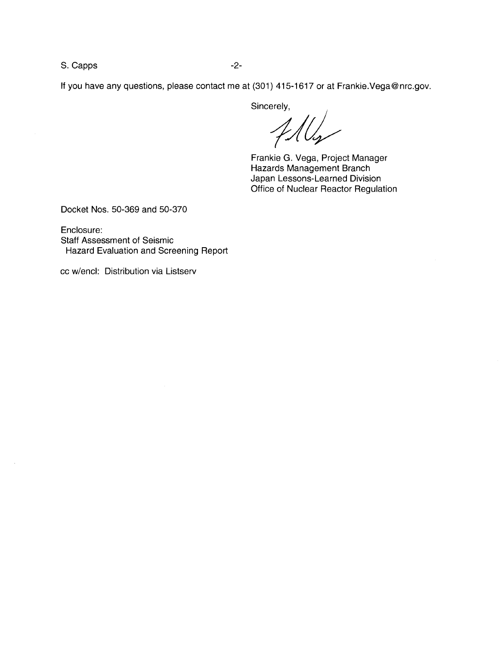S. Capps -2-

If you have any questions, please contact me at (301) 415-1617 or at Frankie.Vega@nrc.gov.

Sincerely,

 $\sim$ ( (

Frankie G. Vega, Project Manager Hazards Management Branch Japan Lessons-Learned Division Office of Nuclear Reactor Regulation

Docket Nos. 50-369 and 50-370

Enclosure: Staff Assessment of Seismic Hazard Evaluation and Screening Report

cc w/encl: Distribution via Listserv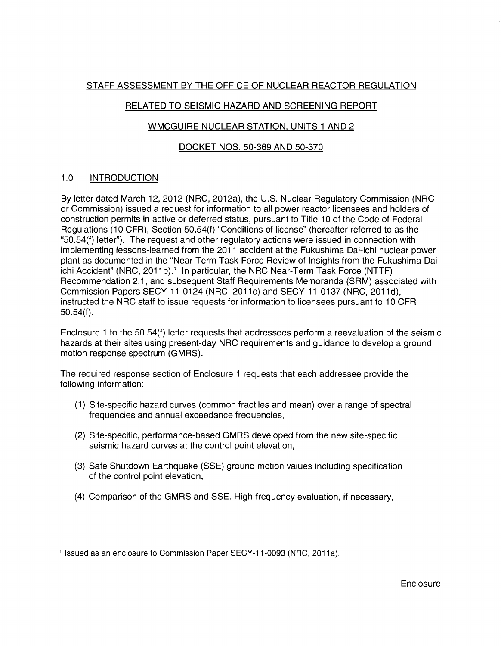# STAFF ASSESSMENT BY THE OFFICE OF NUCLEAR REACTOR REGULATION

# RELATED TO SEISMIC HAZARD AND SCREENING REPORT

## WMCGUIRE NUCLEAR STATION, UNITS 1 AND 2

## DOCKET NOS. 50-369 AND 50-370

# 1.0 INTRODUCTION

By letter dated March 12, 2012 (NRC, 2012a}, the U.S. Nuclear Regulatory Commission (NRC or Commission) issued a request for information to all power reactor licensees and holders of construction permits in active or deferred status, pursuant to Title 1 O of the Code of Federal Regulations (10 CFR), Section 50.54(f) "Conditions of license" (hereafter referred to as the "50.54(f) letter"). The request and other regulatory actions were issued in connection with implementing lessons-learned from the 2011 accident at the Fukushima Dai-ichi nuclear power plant as documented in the "Near-Term Task Force Review of Insights from the Fukushima Daiichi Accident" (NRC, 2011b).<sup>1</sup> In particular, the NRC Near-Term Task Force (NTTF) Recommendation 2.1, and subsequent Staff Requirements Memoranda (SRM) associated with Commission Papers SECY-11-0124 (NRC, 2011c) and SECY-11-0137 (NRC, 2011d), instructed the NRC staff to issue requests for information to licensees pursuant to 1 O CFR 50.54(f).

Enclosure 1 to the 50.54(f) letter requests that addressees perform a reevaluation of the seismic hazards at their sites using present-day NRC requirements and guidance to develop a ground motion response spectrum (GMRS).

The required response section of Enclosure 1 requests that each addressee provide the following information:

- (1) Site-specific hazard curves (common fractiles and mean) over a range of spectral frequencies and annual exceedance frequencies,
- (2) Site-specific, performance-based GMRS developed from the new site-specific seismic hazard curves at the control point elevation,
- (3) Safe Shutdown Earthquake (SSE) ground motion values including specification of the control point elevation,
- (4) Comparison of the GMRS and SSE. High-frequency evaluation, if necessary,

<sup>&</sup>lt;sup>1</sup> Issued as an enclosure to Commission Paper SECY-11-0093 (NRC, 2011a).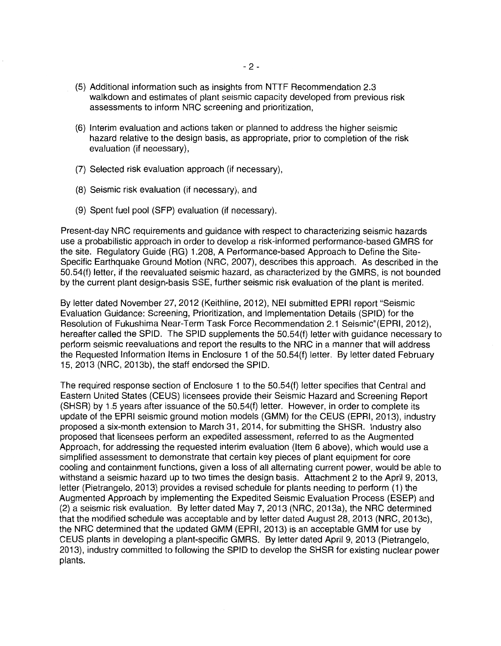- (5) Additional information such as insights from NTTF Recommendation 2.3 walkdown and estimates of plant seismic capacity developed from previous risk assessments to inform NRC screening and prioritization,
- (6) Interim evaluation and actions taken or planned to address the higher seismic hazard relative to the design basis, as appropriate, prior to completion of the risk evaluation (if necessary),
- (7) Selected risk evaluation approach (if necessary),
- (8) Seismic risk evaluation (if necessary), and
- (9) Spent fuel pool (SFP) evaluation (if necessary).

Present-day NRC requirements and guidance with respect to characterizing seismic hazards use a probabilistic approach in order to develop a risk-informed performance-based GMRS for the site. Regulatory Guide (RG) 1.208, A Performance-based Approach to Define the Site-Specific Earthquake Ground Motion (NRC, 2007), describes this approach. As described in the 50.54(f) letter, if the reevaluated seismic hazard, as characterized by the GMRS, is not bounded by the current plant design-basis SSE, further seismic risk evaluation of the plant is merited.

By letter dated November 27, 2012 (Keithline, 2012), NEI submitted EPRI report "Seismic Evaluation Guidance: Screening, Prioritization, and Implementation Details (SPID) for the Resolution of Fukushima Near-Term Task Force Recommendation 2.1 Seismic"(EPRI, 2012), hereafter called the SPID. The SPID supplements the 50.54(f) letter with guidance necessary to perform seismic reevaluations and report the results to the NRC in a manner that will address the Requested Information Items in Enclosure 1 of the 50.54(f) letter. By letter dated February 15, 2013 (NRC, 2013b), the staff endorsed the SPID.

The required response section of Enclosure 1 to the 50.54(f) letter specifies that Central and Eastern United States (CEUS) licensees provide their Seismic Hazard and Screening Report (SHSR) by 1.5 years after issuance of the 50.54(f) letter. However, in order to complete its update of the EPRI seismic ground motion models (GMM) for the CEUS (EPRI, 2013), industry proposed a six-month extension to March 31, 2014, for submitting the SHSR. Industry also proposed that licensees perform an expedited assessment, referred to as the Augmented Approach, for addressing the requested interim evaluation (Item 6 above), which would use a simplified assessment to demonstrate that certain key pieces of plant equipment for core cooling and containment functions, given a loss of all alternating current power, would be able to withstand a seismic hazard up to two times the design basis. Attachment 2 to the April 9, 2013, letter (Pietrangelo, 2013) provides a revised schedule for plants needing to perform (1) the Augmented Approach by implementing the Expedited Seismic Evaluation Process (ESEP) and (2) a seismic risk evaluation. By letter dated May 7, 2013 (NRC, 2013a), the NRC determined that the modified schedule was acceptable and by letter dated August 28, 2013 (NRC, 2013c), the NRC determined that the updated GMM (EPRI, 2013) is an acceptable GMM for use by CEUS plants in developing a plant-specific GMRS. By letter dated April 9, 2013 (Pietrangelo, 2013), industry committed to following the SPID to develop the SHSR for existing nuclear power plants.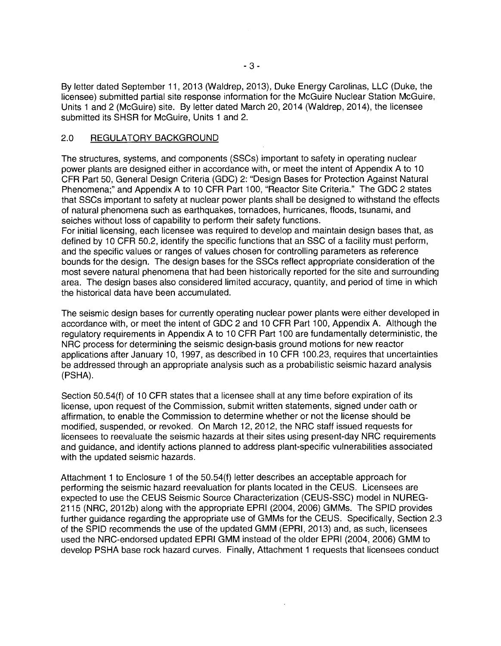By letter dated September 11, 2013 (Waldrep, 2013), Duke Energy Carolinas, LLC (Duke, the licensee) submitted partial site response information for the McGuire Nuclear Station McGuire, Units 1 and 2 (McGuire) site. By letter dated March 20, 2014 (Waldrep, 2014), the licensee submitted its SHSR for McGuire, Units 1 and 2.

### 2.0 REGULATORY BACKGROUND

The structures, systems, and components (SSCs) important to safety in operating nuclear power plants are designed either in accordance with, or meet the intent of Appendix A to 10 CFR Part 50, General Design Criteria (GDC) 2: "Design Bases for Protection Against Natural Phenomena;" and Appendix A to 10 CFR Part 100, "Reactor Site Criteria." The GDC 2 states that SSCs important to safety at nuclear power plants shall be designed to withstand the effects of natural phenomena such as earthquakes, tornadoes, hurricanes, floods, tsunami, and seiches without loss of capability to perform their safety functions.

For initial licensing, each licensee was required to develop and maintain design bases that, as defined by 10 CFR 50.2, identify the specific functions that an SSC of a facility must perform, and the specific values or ranges of values chosen for controlling parameters as reference bounds for the design. The design bases for the SSCs reflect appropriate consideration of the most severe natural phenomena that had been historically reported for the site and surrounding area. The design bases also considered limited accuracy, quantity, and period of time in which the historical data have been accumulated.

The seismic design bases for currently operating nuclear power plants were either developed in accordance with, or meet the intent of GDC 2 and 10 CFR Part 100, Appendix A. Although the regulatory requirements in Appendix A to 10 CFR Part 100 are fundamentally deterministic, the NRC process for determining the seismic design-basis ground motions for new reactor applications after January 10, 1997, as described in 10 CFR 100.23, requires that uncertainties be addressed through an appropriate analysis such as a probabilistic seismic hazard analysis (PSHA).

Section 50.54(f) of 10 CFR states that a licensee shall at any time before expiration of its license, upon request of the Commission, submit written statements, signed under oath or affirmation, to enable the Commission to determine whether or not the license should be modified, suspended, or revoked. On March 12, 2012, the NRC staff issued requests for licensees to reevaluate the seismic hazards at their sites using present-day NRC requirements and guidance, and identify actions planned to address plant-specific vulnerabilities associated with the updated seismic hazards.

Attachment 1 to Enclosure 1 of the 50.54(f) letter describes an acceptable approach for performing the seismic hazard reevaluation for plants located in the CEUS. Licensees are expected to use the CEUS Seismic Source Characterization (CEUS-SSC) model in NUREG-2115 (NRC, 2012b) along with the appropriate EPRI (2004, 2006) GMMs. The SPID provides further guidance regarding the appropriate use of GMMs for the CEUS. Specifically, Section 2.3 of the SPID recommends the use of the updated GMM (EPRI, 2013) and, as such, licensees used the NRG-endorsed updated EPRI GMM instead of the older EPRI (2004, 2006) GMM to develop PSHA base rock hazard curves. Finally, Attachment 1 requests that licensees conduct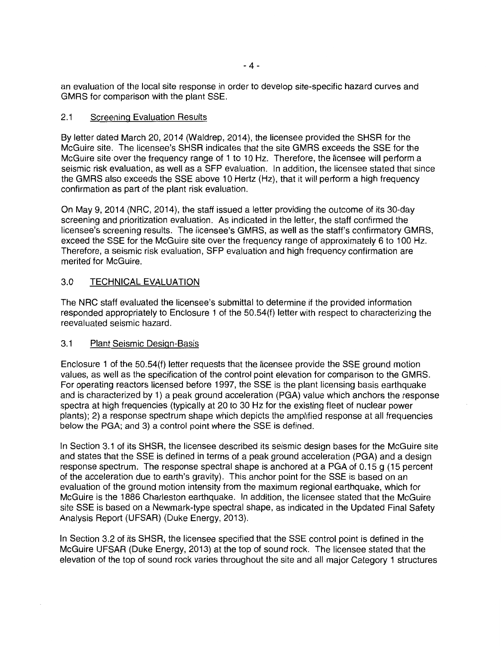an evaluation of the local site response in order to develop site-specific hazard curves and GMRS for comparison with the plant SSE.

## 2.1 Screening Evaluation Results

By letter dated March 20, 2014 (Waldrep, 2014), the licensee provided the SHSR for the McGuire site. The licensee's SHSR indicates that the site GMRS exceeds the SSE for the McGuire site over the frequency range of 1 to 10 Hz. Therefore, the licensee will perform a seismic risk evaluation, as well as a SFP evaluation. In addition, the licensee stated that since the GMRS also exceeds the SSE above 10 Hertz (Hz), that it will perform a high frequency confirmation as part of the plant risk evaluation.

On May 9, 2014 (NRC, 2014), the staff issued a letter providing the outcome of its 30-day screening and prioritization evaluation. As indicated in the letter, the staff confirmed the licensee's screening results. The licensee's GMRS, as well as the staff's confirmatory GMRS, exceed the SSE for the McGuire site over the frequency range of approximately 6 to 100 Hz. Therefore, a seismic risk evaluation, SFP evaluation and high frequency confirmation are merited for McGuire.

## 3.0 TECHNICAL EVALUATION

The NRC staff evaluated the licensee's submittal to determine if the provided information responded appropriately to Enclosure 1 of the 50.54(f) letter with respect to characterizing the reevaluated seismic hazard.

### 3.1 Plant Seismic Design-Basis

Enclosure 1 of the 50.54(f) letter requests that the licensee provide the SSE ground motion values, as well as the specification of the control point elevation for comparison to the GMRS. For operating reactors licensed before 1997, the SSE is the plant licensing basis earthquake and is characterized by 1) a peak ground acceleration (PGA) value which anchors the response spectra at high frequencies (typically at 20 to 30 Hz for the existing fleet of nuclear power plants); 2) a response spectrum shape which depicts the amplified response at all frequencies below the PGA; and 3) a control point where the SSE is defined.

In Section 3.1 of its SHSR, the licensee described its seismic design bases for the McGuire site and states that the SSE is defined in terms of a peak ground acceleration (PGA) and a design response spectrum. The response spectral shape is anchored at a PGA of 0.15 g (15 percent of the acceleration due to earth's gravity). This anchor point for the SSE is based on an evaluation of the ground motion intensity from the maximum regional earthquake, which for McGuire is the 1886 Charleston earthquake. In addition, the licensee stated that the McGuire site SSE is based on a Newmark-type spectral shape, as indicated in the Updated Final Safety Analysis Report (UFSAR) (Duke Energy, 2013).

In Section 3.2 of its SHSR, the licensee specified that the SSE control point is defined in the McGuire UFSAR (Duke Energy, 2013) at the top of sound rock. The licensee stated that the elevation of the top of sound rock varies throughout the site and all major Category 1 structures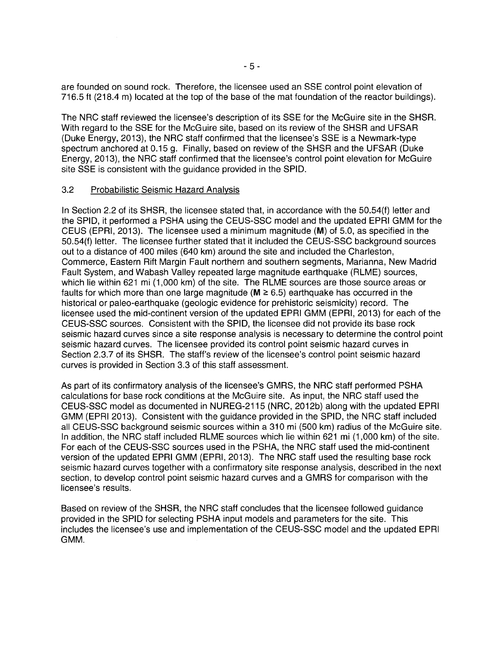are founded on sound rock. Therefore, the licensee used an SSE control point elevation of 716.5 ft (218.4 m) located at the top of the base of the mat foundation of the reactor buildings).

The NRC staff reviewed the licensee's description of its SSE for the McGuire site in the SHSR. With regard to the SSE for the McGuire site, based on its review of the SHSR and UFSAR (Duke Energy, 2013), the NRC staff confirmed that the licensee's SSE is a Newmark-type spectrum anchored at 0.15 g. Finally, based on review of the SHSR and the UFSAR (Duke Energy, 2013), the NRC staff confirmed that the licensee's control point elevation for McGuire site SSE is consistent with the guidance provided in the SPID.

### 3.2 Probabilistic Seismic Hazard Analysis

In Section 2.2 of its SHSR, the licensee stated that, in accordance with the 50.54(f) letter and the SPID, it performed a PSHA using the CEUS-SSC model and the updated EPRI GMM for the CEUS (EPRI, 2013). The licensee used a minimum magnitude (M) of 5.0, as specified in the 50.54(f) letter. The licensee further stated that it included the CEUS-SSC background sources out to a distance of 400 miles (640 km) around the site and included the Charleston, Commerce, Eastern Rift Margin Fault northern and southern segments, Marianna, New Madrid Fault System, and Wabash Valley repeated large magnitude earthquake (RLME) sources, which lie within 621 mi (1,000 km) of the site. The RLME sources are those source areas or faults for which more than one large magnitude ( $M \geq 6.5$ ) earthquake has occurred in the historical or paleo-earthquake (geologic evidence for prehistoric seismicity) record. The licensee used the mid-continent version of the updated EPRI GMM (EPRI, 2013) for each of the CEUS-SSC sources. Consistent with the SPID, the licensee did not provide its base rock seismic hazard curves since a site response analysis is necessary to determine the control point seismic hazard curves. The licensee provided its control point seismic hazard curves in Section 2.3.7 of its SHSR. The staff's review of the licensee's control point seismic hazard curves is provided in Section 3.3 of this staff assessment.

As part of its confirmatory analysis of the licensee's GMRS, the NRC staff performed PSHA calculations for base rock conditions at the McGuire site. As input, the NRC staff used the CEUS-SSC model as documented in NUREG-2115 (NRC, 2012b) along with the updated EPRI GMM (EPRI 2013). Consistent with the guidance provided in the SPID, the NRC staff included all CEUS-SSC background seismic sources within a 310 mi (500 km) radius of the McGuire site. In addition, the NRC staff included RLME sources which lie within 621 mi (1,000 km) of the site. For each of the CEUS-SSC sources used in the PSHA, the NRC staff used the mid-continent version of the updated EPRI GMM (EPRI, 2013). The NRC staff used the resulting base rock seismic hazard curves together with a confirmatory site response analysis, described in the next section, to develop control point seismic hazard curves and a GMRS for comparison with the licensee's results.

Based on review of the SHSR, the NRC staff concludes that the licensee followed guidance provided in the SPID for selecting PSHA input models and parameters for the site. This includes the licensee's use and implementation of the CEUS-SSC model and the updated EPRI GMM.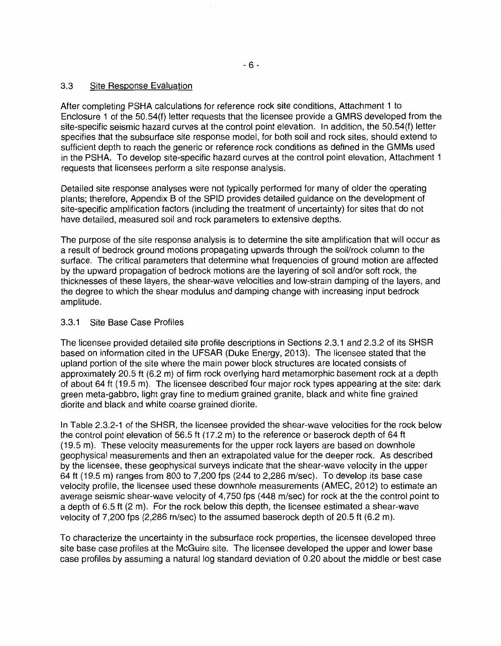## 3.3 Site Response Evaluation

After completing PSHA calculations for reference rock site conditions, Attachment 1 to Enclosure 1 of the 50.54(f) letter requests that the licensee provide a GMRS developed from the site-specific seismic hazard curves at the control point elevation. In addition, the 50.54(f) letter specifies that the subsurface site response model, for both soil and rock sites, should extend to sufficient depth to reach the generic or reference rock conditions as defined in the GMMs used in the PSHA. To develop site-specific hazard curves at the control point elevation, Attachment 1 requests that licensees perform a site response analysis.

Detailed site response analyses were not typically performed for many of older the operating plants; therefore, Appendix B of the SPID provides detailed guidance on the development of site-specific amplification factors (including the treatment of uncertainty) for sites that do not have detailed, measured soil and rock parameters to extensive depths.

The purpose of the site response analysis is to determine the site amplification that will occur as a result of bedrock ground motions propagating upwards through the soil/rock column to the surface. The critical parameters that determine what frequencies of ground motion are affected by the upward propagation of bedrock motions are the layering of soil and/or soft rock, the thicknesses of these layers, the shear-wave velocities and low-strain damping of the layers, and the degree to which the shear modulus and damping change with increasing input bedrock amplitude.

## 3.3.1 Site Base Case Profiles

The licensee provided detailed site profile descriptions in Sections 2.3.1 and 2.3.2 of its SHSR based on information cited in the UFSAR (Duke Energy, 2013). The licensee stated that the upland portion of the site where the main power block structures are located consists of approximately 20.5 ft (6.2 m) of firm rock overlying hard metamorphic basement rock at a depth of about 64 ft (19.5 m). The licensee described four major rock types appearing at the site: dark green meta-gabbro, light gray fine to medium grained granite, black and white fine grained diorite and black and white coarse grained diorite.

In Table 2.3.2-1 of the SHSR, the licensee provided the shear-wave velocities for the rock below the control point elevation of 56.5 ft (17.2 m) to the reference or baserock depth of 64 ft (19.5 m). These velocity measurements for the upper rock layers are based on downhole geophysical measurements and then an extrapolated value for the deeper rock. As described by the licensee, these geophysical surveys indicate that the shear-wave velocity in the upper 64 ft (19.5 m) ranges from 800 to 7,200 fps (244 to 2,286 m/sec). To develop its base case velocity profile, the licensee used these downhole measurements (AMEC, 2012) to estimate an average seismic shear-wave velocity of 4,750 fps (448 m/sec) for rock at the the control point to a depth of 6.5 ft (2 m). For the rock below this depth, the licensee estimated a shear-wave velocity of 7,200 fps (2,286 m/sec) to the assumed baserock depth of 20.5 ft (6.2 m).

To characterize the uncertainty in the subsurface rock properties, the licensee developed three site base case profiles at the McGuire site. The licensee developed the upper and lower base case profiles by assuming a natural log standard deviation of 0.20 about the middle or best case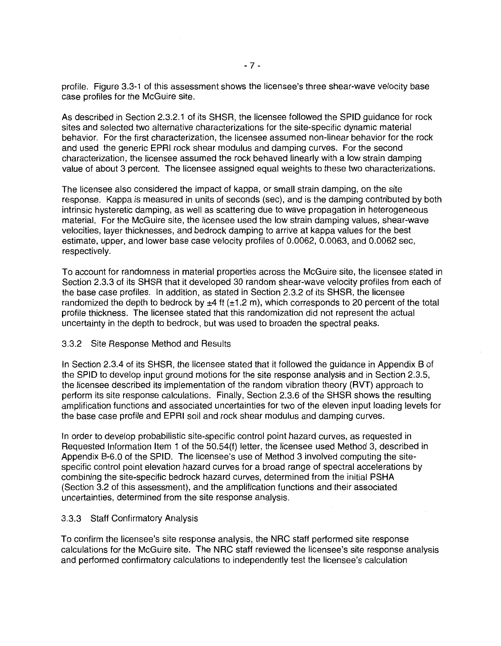profile. Figure 3.3-1 of this assessment shows the licensee's three shear-wave velocity base case profiles for the McGuire site.

As described in Section 2.3.2.1 of its SHSR, the licensee followed the SPID guidance for rock sites and selected two alternative characterizations for the site-specific dynamic material behavior. For the first characterization, the licensee assumed non-linear behavior for the rock and used the generic EPRI rock shear modulus and damping curves. For the second characterization, the licensee assumed the rock behaved linearly with a low strain damping value of about 3 percent. The licensee assigned equal weights to these two characterizations.

The licensee also considered the impact of kappa, or small strain damping, on the site response. Kappa is measured in units of seconds (sec), and is the damping contributed by both intrinsic hysteretic damping, as well as scattering due to wave propagation in heterogeneous material. For the McGuire site, the licensee used the low strain damping values, shear-wave velocities, layer thicknesses, and bedrock damping to arrive at kappa values for the best estimate, upper, and lower base case velocity profiles of 0.0062, 0.0063, and 0.0062 sec, respectively.

To account for randomness in material properties across the McGuire site, the licensee stated in Section 2.3.3 of its SHSR that it developed 30 random shear-wave velocity profiles from each of the base case profiles. In addition, as stated in Section 2.3.2 of its SHSR, the licensee randomized the depth to bedrock by  $\pm 4$  ft ( $\pm 1.2$  m), which corresponds to 20 percent of the total profile thickness. The licensee stated that this randomization did not represent the actual uncertainty in the depth to bedrock, but was used to broaden the spectral peaks.

#### 3.3.2 Site Response Method and Results

In Section 2.3.4 of its SHSR, the licensee stated that it followed the guidance in Appendix B of the SPID to develop input ground motions for the site response analysis and in Section 2.3.5, the licensee described its implementation of the random vibration theory (RVT) approach to perform its site response calculations. Finally, Section 2.3.6 of the SHSR shows the resulting amplification functions and associated uncertainties for two of the eleven input loading levels for the base case profile and EPRI soil and rock shear modulus and damping curves.

In order to develop probabilistic site-specific control point hazard curves, as requested in Requested Information Item 1 of the 50.54(f) letter, the licensee used Method 3, described in Appendix B-6.0 of the SPID. The licensee's use of Method 3 involved computing the sitespecific control point elevation hazard curves for a broad range of spectral accelerations by combining the site-specific bedrock hazard curves, determined from the initial PSHA (Section 3.2 of this assessment), and the amplification functions and their associated uncertainties, determined from the site response analysis.

#### 3.3.3 Staff Confirmatory Analysis

To confirm the licensee's site response analysis, the NRC staff performed site response calculations for the McGuire site. The NRC staff reviewed the licensee's site response analysis and performed confirmatory calculations to independently test the licensee's calculation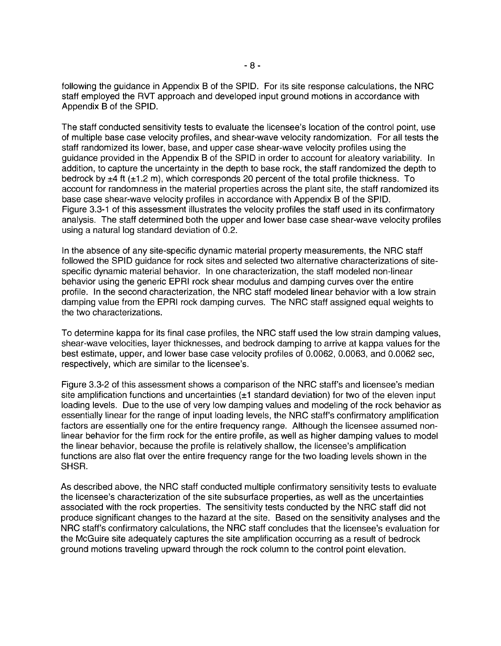following the guidance in Appendix B of the SPID. For its site response calculations, the NRC staff employed the RVT approach and developed input ground motions in accordance with Appendix B of the SPID.

The staff conducted sensitivity tests to evaluate the licensee's location of the control point, use of multiple base case velocity profiles, and shear-wave velocity randomization. For all tests the staff randomized its lower, base, and upper case shear-wave velocity profiles using the guidance provided in the Appendix B of the SPID in order to account for aleatory variability. In addition, to capture the uncertainty in the depth to base rock, the staff randomized the depth to bedrock by  $\pm 4$  ft ( $\pm 1.2$  m), which corresponds 20 percent of the total profile thickness. To account for randomness in the material properties across the plant site, the staff randomized its base case shear-wave velocity profiles in accordance with Appendix B of the SPID. Figure 3.3-1 of this assessment illustrates the velocity profiles the staff used in its confirmatory analysis. The staff determined both the upper and lower base case shear-wave velocity profiles using a natural log standard deviation of 0.2.

In the absence of any site-specific dynamic material property measurements, the NRC staff followed the SPID guidance for rock sites and selected two alternative characterizations of sitespecific dynamic material behavior. In one characterization, the staff modeled non-linear behavior using the generic EPRI rock shear modulus and damping curves over the entire profile. In the second characterization, the NRC staff modeled linear behavior with a low strain damping value from the EPRI rock damping curves. The NRC staff assigned equal weights to the two characterizations.

To determine kappa for its final case profiles, the NRC staff used the low strain damping values, shear-wave velocities, layer thicknesses, and bedrock damping to arrive at kappa values for the best estimate, upper, and lower base case velocity profiles of 0.0062, 0.0063, and 0.0062 sec, respectively, which are similar to the licensee's.

Figure 3.3-2 of this assessment shows a comparison of the NRC staff's and licensee's median site amplification functions and uncertainties  $(\pm 1)$  standard deviation) for two of the eleven input loading levels. Due to the use of very low damping values and modeling of the rock behavior as essentially linear for the range of input loading levels, the NRC staff's confirmatory amplification factors are essentially one for the entire frequency range. Although the licensee assumed nonlinear behavior for the firm rock for the entire profile, as well as higher damping values to model the linear behavior, because the profile is relatively shallow, the licensee's amplification functions are also flat over the entire frequency range for the two loading levels shown in the SHSR.

As described above, the NRC staff conducted multiple confirmatory sensitivity tests to evaluate the licensee's characterization of the site subsurface properties, as well as the uncertainties associated with the rock properties. The sensitivity tests conducted by the NRC staff did not produce significant changes to the hazard at the site. Based on the sensitivity analyses and the NRC staff's confirmatory calculations, the NRC staff concludes that the licensee's evaluation for the McGuire site adequately captures the site amplification occurring as a result of bedrock ground motions traveling upward through the rock column to the control point elevation.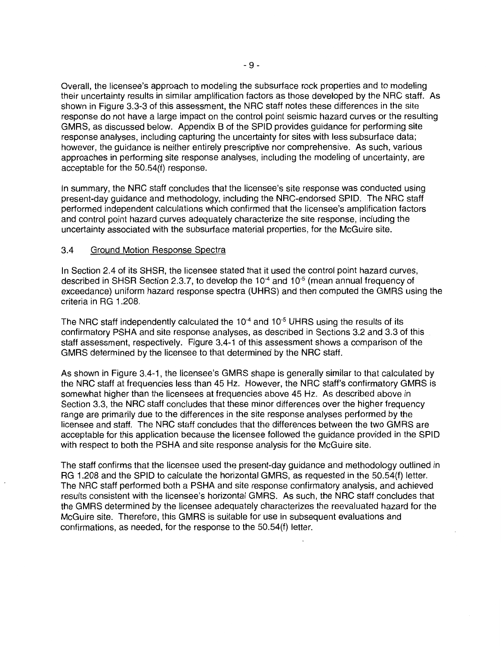Overall, the licensee's approach to modeling the subsurface rock properties and to modeling their uncertainty results in similar amplification factors as those developed by the NRC staff. As shown in Figure 3.3-3 of this assessment, the NRC staff notes these differences in the site response do not have a large impact on the control point seismic hazard curves or the resulting GMRS, as discussed below. Appendix B of the SPID provides guidance for performing site response analyses, including capturing the uncertainty for sites with less subsurface data; however, the guidance is neither entirely prescriptive nor comprehensive. As such, various approaches in performing site response analyses, including the modeling of uncertainty, are acceptable for the 50.54(f) response.

In summary, the NRC staff concludes that the licensee's site response was conducted using present-day guidance and methodology, including the NRG-endorsed SPID. The NRC staff performed independent calculations which confirmed that the licensee's amplification factors and control point hazard curves adequately characterize the site response, including the uncertainty associated with the subsurface material properties, for the McGuire site.

### 3.4 Ground Motion Response Spectra

In Section 2.4 of its SHSR, the licensee stated that it used the control point hazard curves, described in SHSR Section 2.3.7, to develop the 10<sup>-4</sup> and 10<sup>-5</sup> (mean annual frequency of exceedance) uniform hazard response spectra (UHRS) and then computed the GMRS using the criteria in RG 1.208.

The NRC staff independently calculated the  $10^{-4}$  and  $10^{-5}$  UHRS using the results of its confirmatory PSHA and site response analyses, as described in Sections 3.2 and 3.3 of this staff assessment, respectively. Figure 3.4-1 of this assessment shows a comparison of the GMRS determined by the licensee to that determined by the NRC staff.

As shown in Figure 3.4-1, the licensee's GMRS shape is generally similar to that calculated by the NRC staff at frequencies less than 45 Hz. However, the NRC staff's confirmatory GMRS is somewhat higher than the licensees at frequencies above 45 Hz. As described above in Section 3.3, the NRC staff concludes that these minor differences over the higher frequency range are primarily due to the differences in the site response analyses performed by the licensee and staff. The NRC staff concludes that the differences between the two GMRS are acceptable for this application because the licensee followed the guidance provided in the SPID with respect to both the PSHA and site response analysis for the McGuire site.

The staff confirms that the licensee used the present-day guidance and methodology outlined in RG 1.208 and the SPID to calculate the horizontal GMRS, as requested in the 50.54(f) letter. The NRC staff performed both a PSHA and site response confirmatory analysis, and achieved results consistent with the licensee's horizontal GMRS. As such, the NRC staff concludes that the GMRS determined by the licensee adequately characterizes the reevaluated hazard for the McGuire site. Therefore, this GMRS is suitable for use in subsequent evaluations and confirmations, as needed, for the response to the 50.54(f) letter.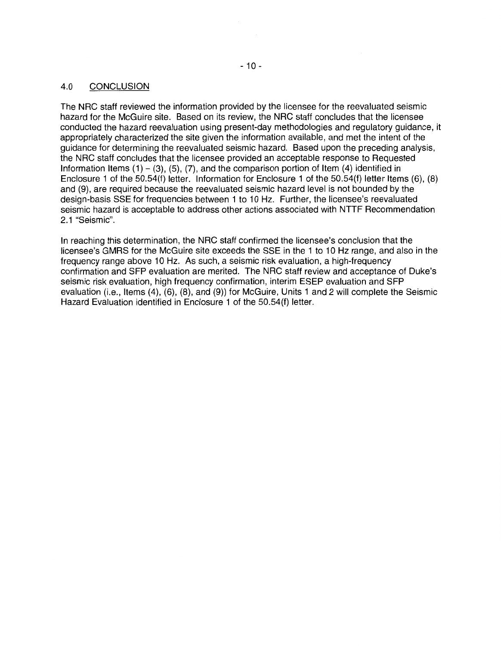## 4.0 CONCLUSION

The NRC staff reviewed the information provided by the licensee for the reevaluated seismic hazard for the McGuire site. Based on its review, the NRC staff concludes that the licensee conducted the hazard reevaluation using present-day methodologies and regulatory guidance, it appropriately characterized the site given the information available, and met the intent of the guidance for determining the reevaluated seismic hazard. Based upon the preceding analysis, the NRC staff concludes that the licensee provided an acceptable response to Requested Information Items  $(1) - (3)$ ,  $(5)$ ,  $(7)$ , and the comparison portion of Item  $(4)$  identified in Enclosure 1 of the 50.54(f) letter. Information for Enclosure 1 of the 50.54(f) letter Items (6), (8) and (9), are required because the reevaluated seismic hazard level is not bounded by the design-basis SSE for frequencies between 1 to 10 Hz. Further, the licensee's reevaluated seismic hazard is acceptable to address other actions associated with NTTF Recommendation 2.1 "Seismic".

In reaching this determination, the NRC staff confirmed the licensee's conclusion that the licensee's GMRS for the McGuire site exceeds the SSE in the 1 to 10 Hz range, and also in the frequency range above 10 Hz. As such, a seismic risk evaluation, a high-frequency confirmation and SFP evaluation are merited. The NRC staff review and acceptance of Duke's seismic risk evaluation, high frequency confirmation, interim ESEP evaluation and SFP evaluation (i.e., Items (4), (6), (8), and (9)) for McGuire, Units 1 and 2 will complete the Seismic Hazard Evaluation identified in Enclosure 1 of the 50.54(f) letter.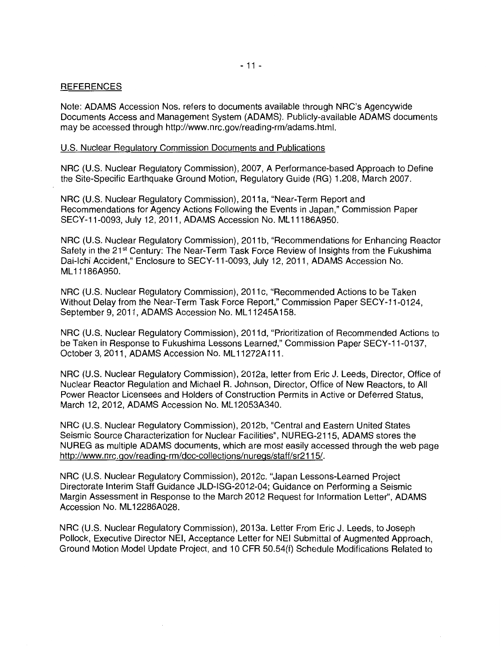### **REFERENCES**

Note: ADAMS Accession Nos. refers to documents available through NRC's Agencywide Documents Access and Management System (ADAMS). Publicly-available ADAMS documents may be accessed through http://www.nrc.gov/reading-rm/adams.html.

### U.S. Nuclear Regulatory Commission Documents and Publications

NRG (U.S. Nuclear Regulatory Commission), 2007, A Performance-based Approach to Define the Site-Specific Earthquake Ground Motion, Regulatory Guide (RG) 1.208, March 2007.

NRG (U.S. Nuclear Regulatory Commission), 2011a, "Near-Term Report and Recommendations for Agency Actions Following the Events in Japan,'' Commission Paper SECY-11-0093, July 12, 2011, ADAMS Accession No. ML 11186A950.

NRC (U.S. Nuclear Regulatory Commission), 2011 b, "Recommendations for Enhancing Reactor Safety in the 21<sup>st</sup> Century: The Near-Term Task Force Review of Insights from the Fukushima Dai-Ichi Accident," Enclosure to SECY-11-0093, July 12, 2011, ADAMS Accession No. ML 11186A950.

NRC (U.S. Nuclear Regulatory Commission), 2011c, "Recommended Actions to be Taken Without Delay from the Near-Term Task Force Report," Commission Paper SECY-11-0124, September 9, 2011, ADAMS Accession No. ML11245A158.

NRG (U.S. Nuclear Regulatory Commission), 2011 d, "Prioritization of Recommended Actions to be Taken in Response to Fukushima Lessons Learned,'' Commission Paper SECY-11-0137, October 3, 2011, ADAMS Accession No. ML 11272A 111.

NRC (U.S. Nuclear Regulatory Commission), 2012a, letter from Eric J. Leeds, Director, Office of Nuclear Reactor Regulation and Michael R. Johnson, Director, Office of New Reactors, to All Power Reactor Licensees and Holders of Construction Permits in Active or Deferred Status, March 12, 2012, ADAMS Accession No. ML12053A340.

NRC (U.S. Nuclear Regulatory Commission), 2012b, "Central and Eastern United States Seismic Source Characterization for Nuclear Facilities", NUREG-2115, ADAMS stores the NUREG as multiple ADAMS documents, which are most easily accessed through the web page http://www.nrc.gov/reading-rm/doc-collections/nuregs/staff/sr2115/.

NRG (U.S. Nuclear Regulatory Commission), 2012c. "Japan Lessons-Learned Project Directorate Interim Staff Guidance JLD-ISG-2012-04; Guidance on Performing a Seismic Margin Assessment in Response to the March 2012 Request for Information Letter", ADAMS Accession No. ML 12286A028.

NRC (U.S. Nuclear Regulatory Commission), 2013a. Letter From Eric J. Leeds, to Joseph Pollock, Executive Director NEI, Acceptance Letter for NEI Submittal of Augmented Approach, Ground Motion Model Update Project, and 1 O CFR 50.54(f) Schedule Modifications Related to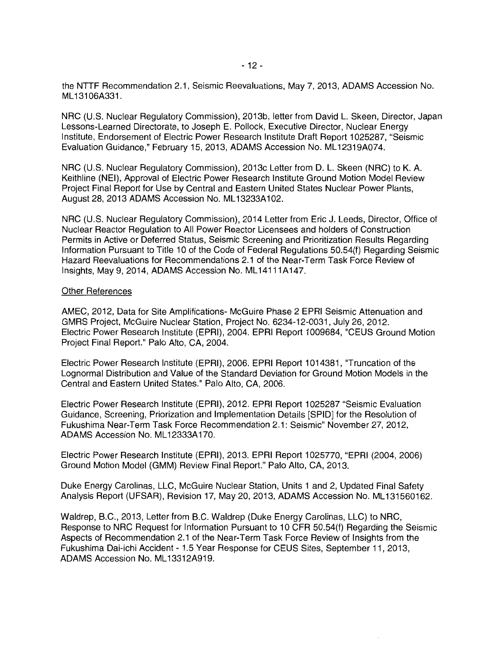the NTTF Recommendation 2.1, Seismic Reevaluations, May 7, 2013, ADAMS Accession No. ML 13106A331.

NRG (U.S. Nuclear Regulatory Commission), 2013b, letter from David L. Skeen, Director, Japan Lessons-Learned Directorate, to Joseph E. Pollock, Executive Director, Nuclear Energy Institute, Endorsement of Electric Power Research Institute Draft Report 1025287, "Seismic Evaluation Guidance," February 15, 2013, ADAMS Accession No. ML 12319A074.

NRG (U.S. Nuclear Regulatory Commission), 2013c Letter from D. L. Skeen (NRG) to K. A. Keithline (NEI), Approval of Electric Power Research Institute Ground Motion Model Review Project Final Report for Use by Central and Eastern United States Nuclear Power Plants, August 28, 2013 ADAMS Accession No. ML 13233A102.

NRG (U.S. Nuclear Regulatory Commission), 2014 Letter from Eric J. Leeds, Director, Office of Nuclear Reactor Regulation to All Power Reactor Licensees and holders of Construction Permits in Active or Deferred Status, Seismic Screening and Prioritization Results Regarding Information Pursuant to Title 10 of the Code of Federal Regulations 50.54(f) Regarding Seismic Hazard Reevaluations for Recommendations 2.1 of the Near-Term Task Force Review of Insights, May 9, 2014, ADAMS Accession No. ML 14111A147.

#### Other References

AMEC, 2012, Data for Site Amplifications- McGuire Phase 2 EPRI Seismic Attenuation and GMRS Project, McGuire Nuclear Station, Project No. 6234-12-0031, July 26, 2012. Electric Power Research Institute (EPRI), 2004. EPRI Report 1009684, "CEUS Ground Motion Project Final Report." Palo Alto, CA, 2004.

Electric Power Research Institute (EPRI), 2006. EPRI Report 1014381, "Truncation of the Lognormal Distribution and Value of the Standard Deviation for Ground Motion Models in the Central and Eastern United States." Palo Alto, CA, 2006.

Electric Power Research Institute (EPRI), 2012. EPRI Report 1025287 "Seismic Evaluation Guidance, Screening, Priorization and Implementation Details [SPID] for the Resolution of Fukushima Near-Term Task Force Recommendation 2.1: Seismic" November 27, 2012, ADAMS Accession No. ML 12333A 170.

Electric Power Research Institute (EPRI), 2013. EPRI Report 1025770, "EPRI (2004, 2006) Ground Motion Model (GMM) Review Final Report." Palo Alto, CA, 2013.

Duke Energy Carolinas, LLC, McGuire Nuclear Station, Units 1 and 2, Updated Final Safety Analysis Report (UFSAR), Revision 17, May 20, 2013, ADAMS Accession No. ML 131560162.

Waldrep, B.C., 2013, Letter from B.C. Waldrep (Duke Energy Carolinas, LLC) to NRG, Response to NRG Request for Information Pursuant to 10 CFR 50.54(f) Regarding the Seismic Aspects of Recommendation 2.1 of the Near-Term Task Force Review of Insights from the Fukushima Dai-ichi Accident - 1.5 Year Response for CEUS Sites, September 11, 2013, ADAMS Accession No. ML 13312A919.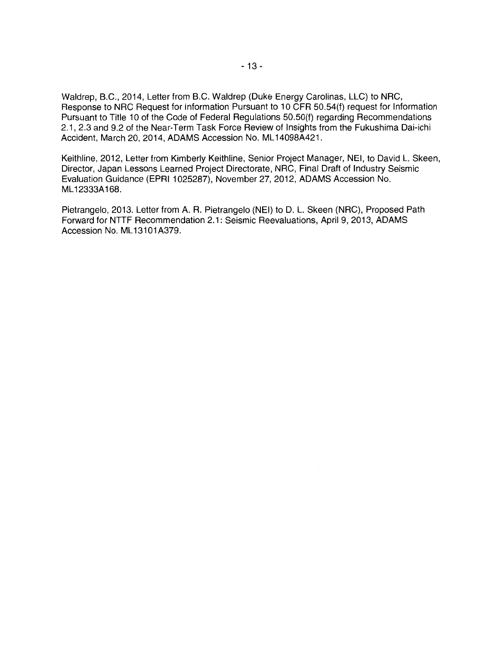Waldrep, B.C., 2014, Letter from B.C. Waldrep (Duke Energy Carolinas, LLC) to NRG, Response to NRG Request for Information Pursuant to 10 CFR 50.54(f) request for Information Pursuant to Title 10 of the Code of Federal Regulations 50.50(f) regarding Recommendations 2.1, 2.3 and 9.2 of the Near-Term Task Force Review of Insights from the Fukushima Dai-ichi Accident, March 20, 2014, ADAMS Accession No. ML 14098A421.

Keithline, 2012, Letter from Kimberly Keithline, Senior Project Manager, NEI, to David L. Skeen, Director, Japan Lessons Learned Project Directorate, NRG, Final Draft of Industry Seismic Evaluation Guidance (EPRI 1025287), November 27, 2012, ADAMS Accession No. ML12333A 168.

Pietrangelo, 2013. Letter from A. R. Pietrangelo (NEI) to D. L. Skeen (NRG), Proposed Path Forward for NTTF Recommendation 2.1: Seismic Reevaluations, April 9, 2013, ADAMS Accession No. ML13101A379.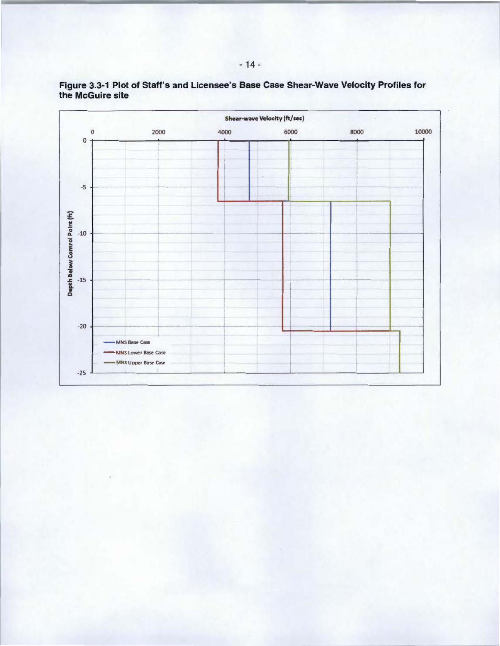

Figure 3.3-1 Plot of Staff's and Licensee's Base Case Shear-Wave Velocity Profiles for the McGuire site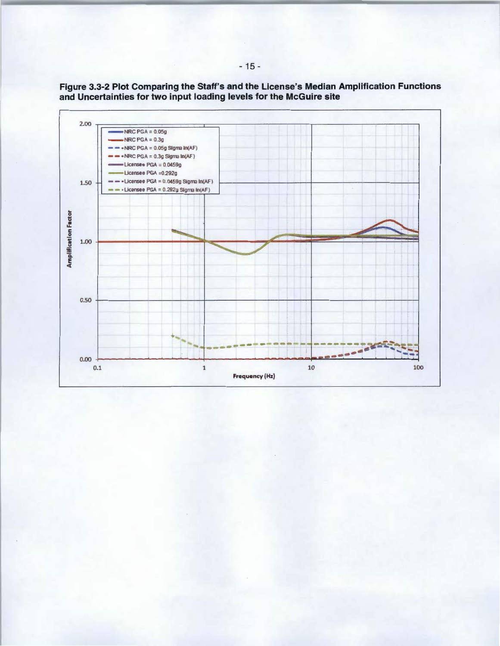

Figure 3.3-2 Plot Comparing the Staff's and the License's Median Amplification Functions and Uncertainties for two input loading levels for the McGuire site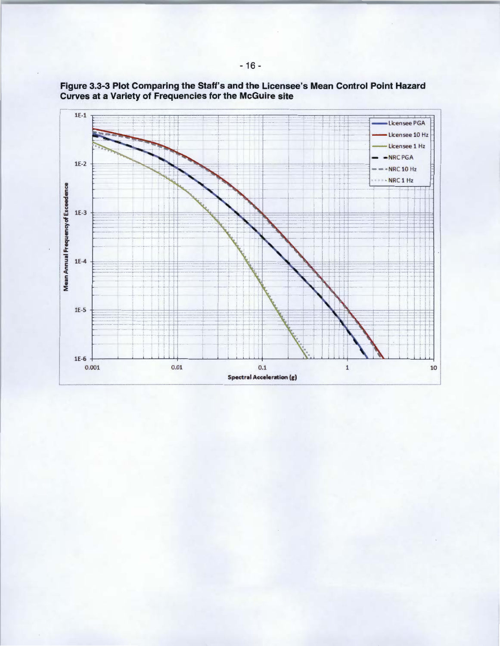

Figure 3.3-3 Plot Comparing the Staff's and the Licensee's Mean Control Point Hazard Curves at a Variety of Frequencies for the McGuire site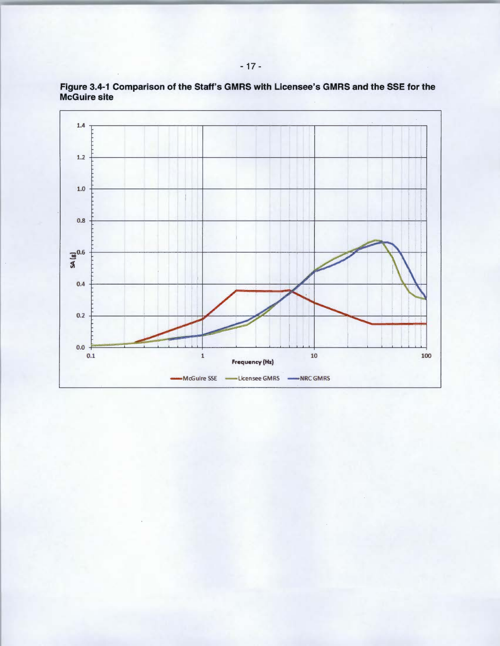

**Figure 3.4-1 Comparison of the Staff's GMRS with Licensee's GMRS and the SSE for the McGuire site**